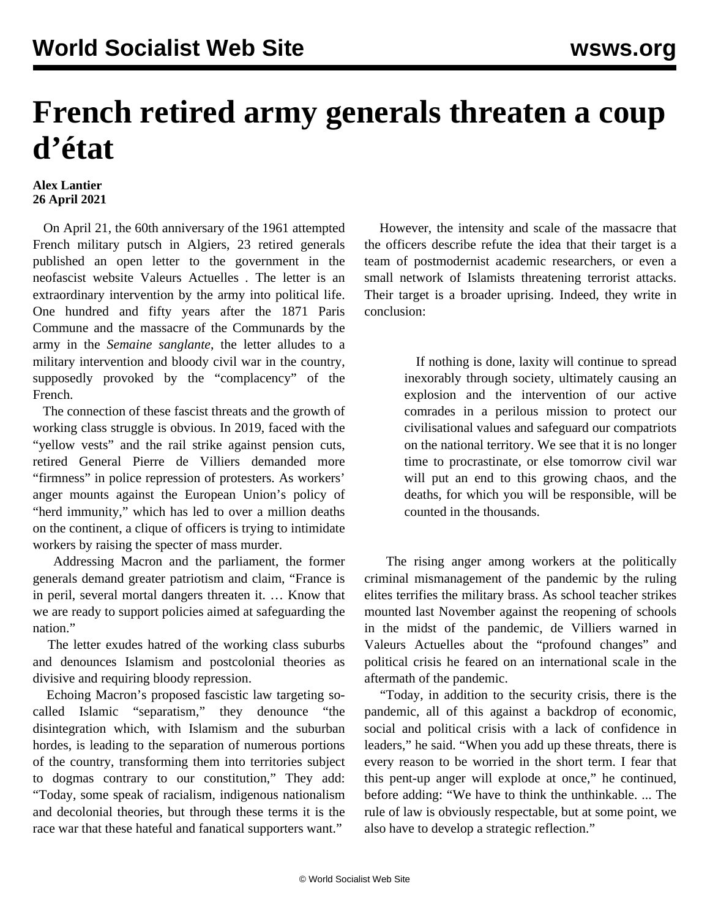## **French retired army generals threaten a coup d'état**

## **Alex Lantier 26 April 2021**

 On April 21, the 60th anniversary of the 1961 attempted French military putsch in Algiers, 23 retired generals published an open letter to the government in the neofascist website Valeurs Actuelles *.* The letter is an extraordinary intervention by the army into political life. One hundred and fifty years after the 1871 Paris Commune and the massacre of the Communards by the army in the *Semaine sanglante*, the letter alludes to a military intervention and bloody civil war in the country, supposedly provoked by the "complacency" of the French.

 The connection of these fascist threats and the growth of working class struggle is obvious. In 2019, faced with the "yellow vests" and the rail strike against pension cuts, retired General Pierre de Villiers demanded more "firmness" in police repression of protesters. As workers' anger mounts against the European Union's policy of "herd immunity," which has led to over a million deaths on the continent, a clique of officers is trying to intimidate workers by raising the specter of mass murder.

 Addressing Macron and the parliament, the former generals demand greater patriotism and claim, "France is in peril, several mortal dangers threaten it. … Know that we are ready to support policies aimed at safeguarding the nation."

 The letter exudes hatred of the working class suburbs and denounces Islamism and postcolonial theories as divisive and requiring bloody repression.

 Echoing Macron's proposed fascistic law targeting socalled Islamic "separatism," they denounce "the disintegration which, with Islamism and the suburban hordes, is leading to the separation of numerous portions of the country, transforming them into territories subject to dogmas contrary to our constitution," They add: "Today, some speak of racialism, indigenous nationalism and decolonial theories, but through these terms it is the race war that these hateful and fanatical supporters want."

 However, the intensity and scale of the massacre that the officers describe refute the idea that their target is a team of postmodernist academic researchers, or even a small network of Islamists threatening terrorist attacks. Their target is a broader uprising. Indeed, they write in conclusion:

> If nothing is done, laxity will continue to spread inexorably through society, ultimately causing an explosion and the intervention of our active comrades in a perilous mission to protect our civilisational values and safeguard our compatriots on the national territory. We see that it is no longer time to procrastinate, or else tomorrow civil war will put an end to this growing chaos, and the deaths, for which you will be responsible, will be counted in the thousands.

 The rising anger among workers at the politically criminal mismanagement of the pandemic by the ruling elites terrifies the military brass. As school teacher strikes mounted last November against the reopening of schools in the midst of the pandemic, de Villiers warned in Valeurs Actuelles about the "profound changes" and political crisis he feared on an international scale in the aftermath of the pandemic.

 "Today, in addition to the security crisis, there is the pandemic, all of this against a backdrop of economic, social and political crisis with a lack of confidence in leaders," he said. "When you add up these threats, there is every reason to be worried in the short term. I fear that this pent-up anger will explode at once," he continued, before adding: "We have to think the unthinkable. ... The rule of law is obviously respectable, but at some point, we also have to develop a strategic reflection."